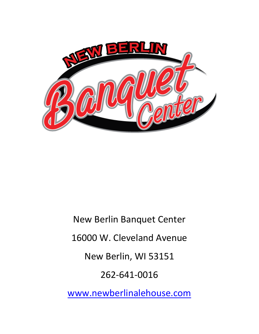

New Berlin Banquet Center 16000 W. Cleveland Avenue New Berlin, WI 53151 262-641-0016 [www.newberlinalehouse.com](http://www.newberlinalehouse.com/)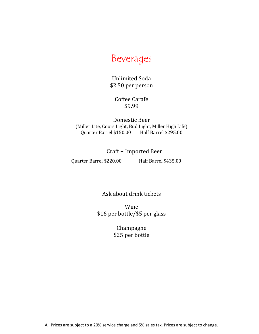# Beverages

Unlimited Soda \$2.50 per person

> Coffee Carafe \$9.99

Domestic Beer (Miller Lite, Coors Light, Bud Light, Miller High Life) Quarter Barrel \$150.00 Half Barrel \$295.00

Craft + Imported Beer

Quarter Barrel \$220.00 Half Barrel \$435.00

Ask about drink tickets

Wine \$16 per bottle/\$5 per glass

> Champagne \$25 per bottle

All Prices are subject to a 20% service charge and 5% sales tax. Prices are subject to change.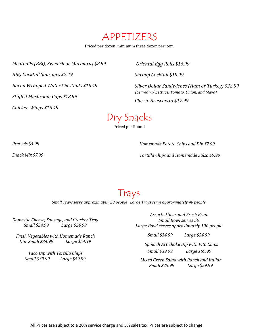APPETIZERS

Priced per dozen; minimum three dozen per item

*Meatballs (BBQ, Swedish or Marinara) \$8.99*

*BBQ Cocktail Sausages \$7.49* 

*Bacon Wrapped Water Chestnuts \$15.49*

*Stuffed Mushroom Caps \$18.99*

*Chicken Wings \$16.49*

*Oriental Egg Rolls \$16.99*

*Shrimp Cocktail \$19.99*

*Silver Dollar Sandwiches (Ham or Turkey) \$22.99 (Served w/ Lettuce, Tomato, Onion, and Mayo) Classic Bruschetta \$17.99*

# Dry Snacks

Priced per Pound

*Pretzels \$4.99* 

*Snack Mix \$7.99* 

*Homemade Potato Chips and Dip \$7.99* 

*Tortilla Chips and Homemade Salsa \$9.99* 

# Trays

*Small Trays serve approximately 20 people Large Trays serve approximately 40 people*

*Domestic Cheese, Sausage, and Cracker Tray Small \$34.99 Large \$54.99*

*Fresh Vegetables with Homemade Ranch Dip Small \$34.99 Large \$54.99*

> *Taco Dip with Tortilla Chips Small \$39.99 Large \$59.99*

*Assorted Seasonal Fresh Fruit Small Bowl serves 50 Large Bowl serves approximately 100 people*

*Small \$34.99 Large \$54.99*

*Spinach Artichoke Dip with Pita Chips Small \$39.99 Large \$59.99* 

*Mixed Green Salad with Ranch and Italian Small \$29.99 Large \$59.99*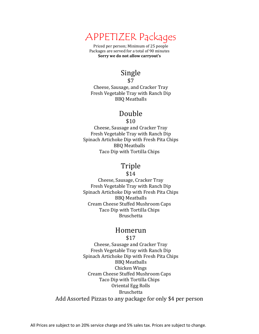### APPETIZER Packages

Priced per person; Minimum of 25 people Packages are served for a total of 90 minutes **Sorry we do not allow carryout's** 

### Single

\$7

Cheese, Sausage, and Cracker Tray Fresh Vegetable Tray with Ranch Dip BBQ Meatballs

### Double

\$10

Cheese, Sausage and Cracker Tray Fresh Vegetable Tray with Ranch Dip Spinach Artichoke Dip with Fresh Pita Chips BBQ Meatballs Taco Dip with Tortilla Chips

### Triple

\$14

Cheese, Sausage, Cracker Tray Fresh Vegetable Tray with Ranch Dip Spinach Artichoke Dip with Fresh Pita Chips BBQ Meatballs Cream Cheese Stuffed Mushroom Caps Taco Dip with Tortilla Chips Bruschetta

### Homerun

\$17

Cheese, Sausage and Cracker Tray Fresh Vegetable Tray with Ranch Dip Spinach Artichoke Dip with Fresh Pita Chips BBQ Meatballs Chicken Wings Cream Cheese Stuffed Mushroom Caps Taco Dip with Tortilla Chips Oriental Egg Rolls Bruschetta Add Assorted Pizzas to any package for only \$4 per person

All Prices are subject to an 20% service charge and 5% sales tax. Prices are subject to change.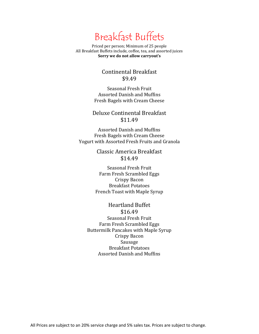# Breakfast Buffets

Priced per person; Minimum of 25 people All Breakfast Buffets include, coffee, tea, and assorted juices **Sorry we do not allow carryout's** 

#### Continental Breakfast \$9.49

Seasonal Fresh Fruit Assorted Danish and Muffins Fresh Bagels with Cream Cheese

#### Deluxe Continental Breakfast \$11.49

Assorted Danish and Muffins Fresh Bagels with Cream Cheese Yogurt with Assorted Fresh Fruits and Granola

> Classic America Breakfast \$14.49

Seasonal Fresh Fruit Farm Fresh Scrambled Eggs Crispy Bacon Breakfast Potatoes French Toast with Maple Syrup

#### Heartland Buffet \$16.49 Seasonal Fresh Fruit Farm Fresh Scrambled Eggs Buttermilk Pancakes with Maple Syrup Crispy Bacon Sausage Breakfast Potatoes Assorted Danish and Muffins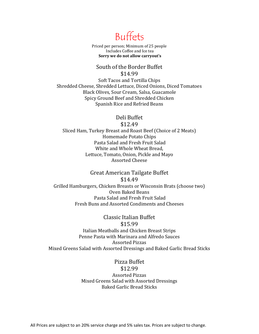

Priced per person; Minimum of 25 people Includes Coffee and Ice tea **Sorry we do not allow carryout's** 

#### South of the Border Buffet \$14.99

Soft Tacos and Tortilla Chips Shredded Cheese, Shredded Lettuce, Diced Onions, Diced Tomatoes Black Olives, Sour Cream, Salsa, Guacamole Spicy Ground Beef and Shredded Chicken Spanish Rice and Refried Beans

Deli Buffet

\$12.49

Sliced Ham, Turkey Breast and Roast Beef (Choice of 2 Meats) Homemade Potato Chips Pasta Salad and Fresh Fruit Salad White and Whole Wheat Bread, Lettuce, Tomato, Onion, Pickle and Mayo Assorted Cheese

Great American Tailgate Buffet \$14.49 Grilled Hamburgers, Chicken Breasts or Wisconsin Brats (choose two) Oven Baked Beans Pasta Salad and Fresh Fruit Salad Fresh Buns and Assorted Condiments and Cheeses

Classic Italian Buffet \$15.99 Italian Meatballs and Chicken Breast Strips Penne Pasta with Marinara and Alfredo Sauces Assorted Pizzas Mixed Greens Salad with Assorted Dressings and Baked Garlic Bread Sticks

> Pizza Buffet \$12.99 Assorted Pizzas Mixed Greens Salad with Assorted Dressings Baked Garlic Bread Sticks

All Prices are subject to an 20% service charge and 5% sales tax. Prices are subject to change.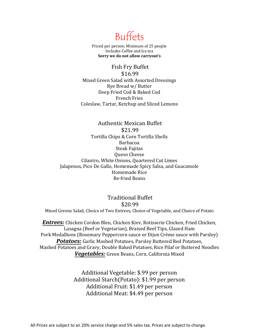Buffets

Priced per person; Minimum of 25 people Includes Coffee and Ice tea **Sorry we do not allow carryout's** 

Fish Fry Buffet \$16.99 Mixed Green Salad with Assorted Dressings Rye Bread w/ Butter Deep Fried Cod & Baked Cod French Fries Coleslaw, Tartar, Ketchup and Sliced Lemons

Authentic Mexican Buffet \$21.99 Tortilla Chips & Corn Tortilla Shells Barbacoa Steak Fajitas Queso Cheese Cilantro, White Onions, Quartered Cut Limes Jalapenos, Pico De Gallo, Homemade Spicy Salsa, and Guacamole Homemade Rice Re-fried Beans

Traditional Buffet \$20.99 Mixed Greens Salad, Choice of Two Entrees, Choice of Vegetable, and Choice of Potato

*Entrees:* Chicken Cordon Bleu, Chicken Kiev, Rotisserie Chicken, Fried Chicken, Lasagna (Beef or Vegetarian), Braised Beef Tips, Glazed Ham Pork Medallions (Rosemary Peppercorn sauce or Dijon Crème sauce with Parsley) *Potatoes:* Garlic Mashed Potatoes, Parsley Buttered Red Potatoes, Mashed Potatoes and Gravy, Double Baked Potatoes, Rice Pilaf or Buttered Noodles *Vegetables:* Green Beans, Corn, California Mixed

> Additional Vegetable: \$.99 per person Additional Starch(Potato): \$1.99 per person Additional Fruit: \$1.49 per person Additional Meat: \$4.49 per person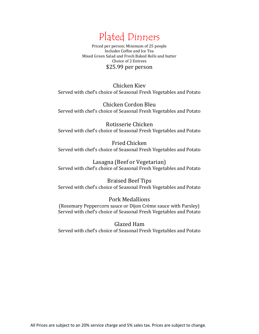

Priced per person; Minimum of 25 people Includes Coffee and Ice Tea Mixed Green Salad and Fresh Baked Rolls and butter Choice of 2 Entrees \$25.99 per person

Chicken Kiev Served with chef's choice of Seasonal Fresh Vegetables and Potato

Chicken Cordon Bleu Served with chef's choice of Seasonal Fresh Vegetables and Potato

Rotisserie Chicken Served with chef's choice of Seasonal Fresh Vegetables and Potato

Fried Chicken Served with chef's choice of Seasonal Fresh Vegetables and Potato

Lasagna (Beef or Vegetarian) Served with chef's choice of Seasonal Fresh Vegetables and Potato

Braised Beef Tips Served with chef's choice of Seasonal Fresh Vegetables and Potato

Pork Medallions (Rosemary Peppercorn sauce or Dijon Crème sauce with Parsley) Served with chef's choice of Seasonal Fresh Vegetables and Potato

Glazed Ham

Served with chef's choice of Seasonal Fresh Vegetables and Potato